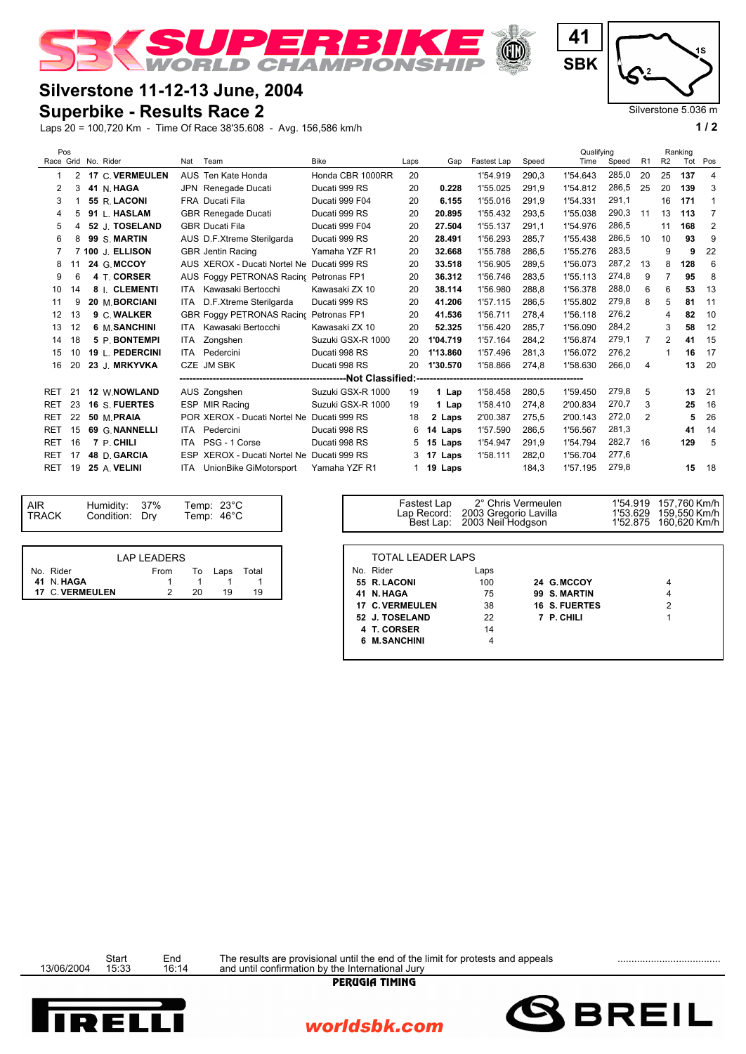

## **Silverstone 11-12-13 June, 2004**

## **Superbike - Results Race 2**

Laps 20 = 100,720 Km - Time Of Race 38'35.608 - Avg. 156,586 km/h **1 / 2**

| l 4<br><b>SBK</b> | ۱S                       |  |
|-------------------|--------------------------|--|
|                   | Silverstone 5.036 m<br>2 |  |

|  | Pos                 |                |  |                  |     |                                            |                   |      |                  |             |       | Qualifying |       |                |                | Ranking |                |
|--|---------------------|----------------|--|------------------|-----|--------------------------------------------|-------------------|------|------------------|-------------|-------|------------|-------|----------------|----------------|---------|----------------|
|  | Race Grid No. Rider |                |  |                  | Nat | Team                                       | <b>Bike</b>       | Laps | Gap              | Fastest Lap | Speed | Time       | Speed | R <sub>1</sub> | R <sub>2</sub> | Tot Pos |                |
|  |                     | $\overline{2}$ |  | 17 C. VERMEULEN  |     | AUS Ten Kate Honda                         | Honda CBR 1000RR  | 20   |                  | 1'54.919    | 290,3 | 1'54.643   | 285,0 | 20             | 25             | 137     | $\overline{4}$ |
|  | 2                   | 3              |  | 41 N. HAGA       |     | JPN Renegade Ducati                        | Ducati 999 RS     | 20   | 0.228            | 1'55.025    | 291.9 | 1'54.812   | 286,5 | 25             | 20             | 139     | 3              |
|  | 3                   |                |  | 55 R. LACONI     |     | FRA Ducati Fila                            | Ducati 999 F04    | 20   | 6.155            | 1'55.016    | 291,9 | 1'54.331   | 291,1 |                | 16             | 171     | 1              |
|  | 4                   | 5              |  | 91 L. HASLAM     |     | <b>GBR Renegade Ducati</b>                 | Ducati 999 RS     | 20   | 20.895           | 1'55.432    | 293,5 | 1'55.038   | 290,3 | 11             | 13             | 113     | $\overline{7}$ |
|  | 5                   | $\overline{4}$ |  | 52 J. TOSELAND   |     | <b>GBR Ducati Fila</b>                     | Ducati 999 F04    | 20   | 27.504           | 1'55.137    | 291,1 | 1'54.976   | 286,5 |                | 11             | 168     | $\overline{2}$ |
|  | 6                   | 8              |  | 99 S. MARTIN     |     | AUS D.F.Xtreme Sterilgarda                 | Ducati 999 RS     | 20   | 28.491           | 1'56.293    | 285,7 | 1'55.438   | 286,5 | 10             | 10             | 93      | 9              |
|  |                     |                |  | 7 100 J. ELLISON |     | <b>GBR</b> Jentin Racing                   | Yamaha YZF R1     | 20   | 32.668           | 1'55.788    | 286.5 | 1'55.276   | 283,5 |                | 9              | 9       | 22             |
|  | 8                   | 11             |  | 24 G. MCCOY      |     | AUS XEROX - Ducati Nortel Ne               | Ducati 999 RS     | 20   | 33.518           | 1'56.905    | 289,5 | 1'56.073   | 287,2 | 13             | 8              | 128     | 6              |
|  | 9                   | 6              |  | 4 T. CORSER      |     | AUS Foggy PETRONAS Racinc Petronas FP1     |                   | 20   | 36.312           | 1'56.746    | 283.5 | 1'55.113   | 274,8 | 9              |                | 95      | 8              |
|  | 10                  | 14             |  | 8 I. CLEMENTI    | ITA | Kawasaki Bertocchi                         | Kawasaki ZX 10    | 20   | 38.114           | 1'56.980    | 288.8 | 1'56.378   | 288,0 | 6              | 6              | 53      | 13             |
|  | 11                  | 9              |  | 20 M. BORCIANI   |     | ITA D.F.Xtreme Sterilgarda                 | Ducati 999 RS     | 20   | 41.206           | 1'57.115    | 286,5 | 1'55.802   | 279,8 | 8              | 5              | 81      | 11             |
|  | 12                  | 13             |  | 9 C. WALKER      |     | <b>GBR Foggy PETRONAS Racing</b>           | Petronas FP1      | 20   | 41.536           | 1'56.711    | 278.4 | 1'56.118   | 276,2 |                | 4              | 82      | 10             |
|  | 13                  | 12             |  | 6 M. SANCHINI    | ITA | Kawasaki Bertocchi                         | Kawasaki ZX 10    | 20   | 52.325           | 1'56.420    | 285,7 | 1'56.090   | 284,2 |                | 3              | 58      | 12             |
|  | 14                  | 18             |  | 5 P. BONTEMPI    | ITA | Zongshen                                   | Suzuki GSX-R 1000 | 20   | 1'04.719         | 1'57.164    | 284,2 | 1'56.874   | 279,1 | 7              | $\overline{2}$ | 41      | 15             |
|  | 15                  | 10             |  | 19 L. PEDERCINI  | ITA | Pedercini                                  | Ducati 998 RS     | 20   | 1'13.860         | 1'57.496    | 281.3 | 1'56.072   | 276,2 |                |                | 16      | 17             |
|  | 16                  | 20             |  | 23 J. MRKYVKA    |     | CZE JM SBK                                 | Ducati 998 RS     | 20   | 1'30.570         | 1'58.866    | 274,8 | 1'58.630   | 266,0 | 4              |                | 13      | 20             |
|  |                     |                |  |                  |     |                                            |                   |      |                  |             |       |            |       |                |                |         |                |
|  | <b>RET</b>          | 21             |  | 12 W.NOWLAND     |     | AUS Zongshen                               | Suzuki GSX-R 1000 | 19   | 1 Lap            | 1'58.458    | 280,5 | 1'59.450   | 279,8 | 5              |                | 13      | 21             |
|  | <b>RET</b>          | 23             |  | 16 S. FUERTES    |     | ESP MIR Racing                             | Suzuki GSX-R 1000 | 19   | 1 Lap            | 1'58.410    | 274.8 | 2'00.834   | 270.7 | 3              |                | 25      | 16             |
|  | <b>RET</b>          | 22             |  | 50 M.PRAIA       |     | POR XEROX - Ducati Nortel Ne Ducati 999 RS |                   | 18   | 2 Laps           | 2'00.387    | 275,5 | 2'00.143   | 272,0 | 2              |                | 5       | 26             |
|  | <b>RET</b>          | 15             |  | 69 G. NANNELLI   | ITA | Pedercini                                  | Ducati 998 RS     | 6    | 14 Laps          | 1'57.590    | 286,5 | 1'56.567   | 281,3 |                |                | 41      | 14             |
|  | <b>RET</b>          | 16             |  | 7 P. CHILI       | ITA | PSG - 1 Corse                              | Ducati 998 RS     |      | 5 15 Laps        | 1'54.947    | 291,9 | 1'54.794   | 282,7 | 16             |                | 129     | 5              |
|  | <b>RET</b>          | 17             |  | 48 D. GARCIA     |     | ESP XEROX - Ducati Nortel Ne               | Ducati 999 RS     |      | $3 \t17$<br>Laps | 1'58.111    | 282,0 | 1'56.704   | 277,6 |                |                |         |                |
|  | <b>RET</b>          | 19             |  | 25 A. VELINI     | ITA | UnionBike GiMotorsport                     | Yamaha YZF R1     |      | 1 <b>19 Laps</b> |             | 184,3 | 1'57.195   | 279,8 |                |                | 15      | 18             |
|  |                     |                |  |                  |     |                                            |                   |      |                  |             |       |            |       |                |                |         |                |

| <b>AIR</b><br><b>TRACK</b> |
|----------------------------|
|                            |

|                 | LAP LEADERS |         |       |
|-----------------|-------------|---------|-------|
| No. Rider       | From        | To Laps | Total |
| 41 N.HAGA       |             |         |       |
| 17 C. VERMEULEN |             | 19      | 10    |

| Humidity:<br>37%<br>Temp: $23^{\circ}$ C<br>Condition: Dry<br>Temp: 46°C | Fastest Lap<br>Lap Record:<br>Best Lap: | 2° Chris Vermeulen<br>2003 Gregorio Lavilla<br>2003 Neil Hodgson | 1'53.629 | 1'54.919 157.760 Km/h I<br>159,550 Km/h  <br>1'52.875 160,620 Km/h |
|--------------------------------------------------------------------------|-----------------------------------------|------------------------------------------------------------------|----------|--------------------------------------------------------------------|
| <b>LAP LEADERS</b>                                                       | <b>TOTAL LEADER LAPS</b>                |                                                                  |          |                                                                    |
| From<br>Total<br>To<br>Laps                                              | No. Rider                               | Laps                                                             |          |                                                                    |
|                                                                          | 55 R. LACONI                            | 100<br>24 G.MCCOY                                                |          |                                                                    |
| <b>EULEN</b><br>19<br>20<br>19                                           | 41 N. HAGA                              | 75<br>99 S. MARTIN                                               |          |                                                                    |
|                                                                          | 17 C. VERMEULEN                         | 38<br><b>16 S. FUERTES</b>                                       |          |                                                                    |
|                                                                          | 52 J. TOSELAND                          | 22<br>7 P. CHILI                                                 |          |                                                                    |
|                                                                          | 4 T. CORSER                             | 14                                                               |          |                                                                    |
|                                                                          | 6 M.SANCHINI                            |                                                                  |          |                                                                    |

Start End The results are provisional until the end of the limit for protests and appeals<br>13/06/2004 15:33 16:14 and until confirmation by the International Jury



worldsbk.com